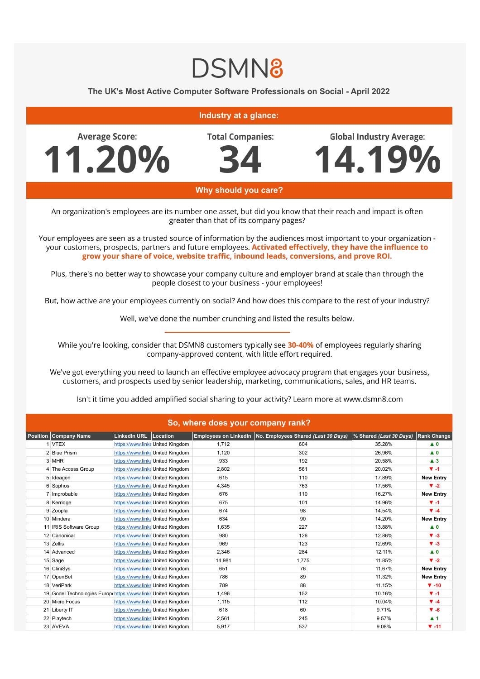## **DSMN8**

## The UK's Most Active Computer Software Professionals on Social - April 2022

## **Industry at a glance:**

**Average Score:** 11.20% **Total Companies:** 

**Global Industry Average:** 

4.19%



Why should you care?

An organization's employees are its number one asset, but did you know that their reach and impact is often greater than that of its company pages?

Your employees are seen as a trusted source of information by the audiences most important to your organization your customers, prospects, partners and future employees. Activated effectively, they have the influence to grow your share of voice, website traffic, inbound leads, conversions, and prove ROI.

Plus, there's no better way to showcase your company culture and employer brand at scale than through the people closest to your business - your employees!

But, how active are your employees currently on social? And how does this compare to the rest of your industry?

Well, we've done the number crunching and listed the results below.

While you're looking, consider that DSMN8 customers typically see 30-40% of employees regularly sharing company-approved content, with little effort required.

We've got everything you need to launch an effective employee advocacy program that engages your business, customers, and prospects used by senior leadership, marketing, communications, sales, and HR teams.

Isn't it time you added amplified social sharing to your activity? Learn more at www.dsmn8.com

| So, where does your company rank? |                                                             |                         |                                  |        |                                                             |                         |                    |  |  |  |  |
|-----------------------------------|-------------------------------------------------------------|-------------------------|----------------------------------|--------|-------------------------------------------------------------|-------------------------|--------------------|--|--|--|--|
|                                   | Position Company Name                                       | LinkedIn URL   Location |                                  |        | Employees on LinkedIn   No. Employees Shared (Last 30 Days) | % Shared (Last 30 Days) | <b>Rank Change</b> |  |  |  |  |
|                                   | 1 VTEX                                                      |                         | https://www.linke United Kingdom | 1.712  | 604                                                         | 35.28%                  | $\blacktriangle$ 0 |  |  |  |  |
|                                   | 2 Blue Prism                                                |                         | https://www.linke United Kingdom | 1.120  | 302                                                         | 26.96%                  | $\blacktriangle$ 0 |  |  |  |  |
|                                   | 3 MHR                                                       |                         | https://www.linke United Kingdom | 933    | 192                                                         | 20.58%                  | $\blacktriangle$ 3 |  |  |  |  |
|                                   | 4 The Access Group                                          |                         | https://www.linke United Kingdom | 2,802  | 561                                                         | 20.02%                  | $\Psi - 1$         |  |  |  |  |
|                                   | 5 Ideagen                                                   |                         | https://www.linke United Kingdom | 615    | 110                                                         | 17.89%                  | <b>New Entry</b>   |  |  |  |  |
|                                   | 6 Sophos                                                    |                         | https://www.linke United Kingdom | 4,345  | 763                                                         | 17.56%                  | $\Psi -2$          |  |  |  |  |
|                                   | 7 Improbable                                                |                         | https://www.linke United Kingdom | 676    | 110                                                         | 16.27%                  | <b>New Entry</b>   |  |  |  |  |
|                                   | 8 Kerridge                                                  |                         | https://www.linke United Kingdom | 675    | 101                                                         | 14.96%                  | $V - 1$            |  |  |  |  |
|                                   | 9 Zoopla                                                    |                         | https://www.linke United Kingdom | 674    | 98                                                          | 14.54%                  | $\Psi - 4$         |  |  |  |  |
|                                   | 10 Mindera                                                  |                         | https://www.linke United Kingdom | 634    | 90                                                          | 14.20%                  | <b>New Entry</b>   |  |  |  |  |
|                                   | 11 IRIS Software Group                                      |                         | https://www.linke United Kingdom | 1,635  | 227                                                         | 13.88%                  | $\blacktriangle$ 0 |  |  |  |  |
|                                   | 12 Canonical                                                |                         | https://www.linke United Kingdom | 980    | 126                                                         | 12.86%                  | $\Psi - 3$         |  |  |  |  |
|                                   | 13 Zellis                                                   |                         | https://www.linke United Kingdom | 969    | 123                                                         | 12.69%                  | $V - 3$            |  |  |  |  |
|                                   | 14 Advanced                                                 |                         | https://www.linke United Kingdom | 2,346  | 284                                                         | 12.11%                  | $\blacktriangle$ 0 |  |  |  |  |
|                                   | 15 Sage                                                     |                         | https://www.linke United Kingdom | 14,981 | 1,775                                                       | 11.85%                  | $\Psi -2$          |  |  |  |  |
|                                   | 16 CliniSys                                                 |                         | https://www.linke United Kingdom | 651    | 76                                                          | 11.67%                  | <b>New Entry</b>   |  |  |  |  |
|                                   | 17 OpenBet                                                  |                         | https://www.linke United Kingdom | 786    | 89                                                          | 11.32%                  | <b>New Entry</b>   |  |  |  |  |
|                                   | 18 VeriPark                                                 |                         | https://www.linke United Kingdom | 789    | 88                                                          | 11.15%                  | $\Psi - 10$        |  |  |  |  |
|                                   | 19 Godel Technologies Europehttps://www.linkeUnited Kingdom |                         |                                  | 1,496  | 152                                                         | 10.16%                  | $V - 1$            |  |  |  |  |
|                                   | 20 Micro Focus                                              |                         | https://www.linke United Kingdom | 1,115  | 112                                                         | 10.04%                  | $\Psi - 4$         |  |  |  |  |
|                                   | 21 Liberty IT                                               |                         | https://www.linke United Kingdom | 618    | 60                                                          | 9.71%                   | $\Psi - 6$         |  |  |  |  |
|                                   | 22 Playtech                                                 |                         | https://www.linke United Kingdom | 2,561  | 245                                                         | 9.57%                   | $\blacktriangle$ 1 |  |  |  |  |
|                                   | 23 AVEVA                                                    |                         | https://www.linke United Kingdom | 5,917  | 537                                                         | 9.08%                   | $\Psi - 11$        |  |  |  |  |